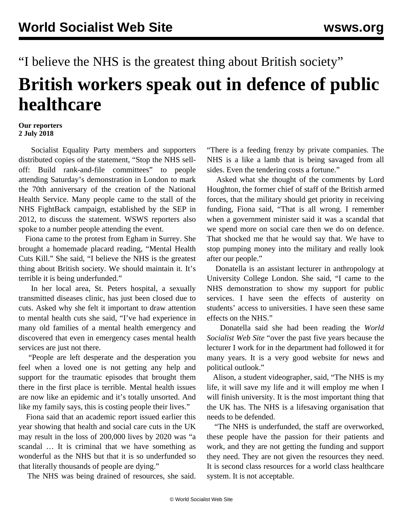## "I believe the NHS is the greatest thing about British society" **British workers speak out in defence of public healthcare**

## **Our reporters 2 July 2018**

 Socialist Equality Party members and supporters distributed copies of the statement, ["Stop the NHS sell](/en/articles/2018/06/30/anni-j30.html)[off: Build rank-and-file committees"](/en/articles/2018/06/30/anni-j30.html) to people attending Saturday's demonstration in London to mark the 70th anniversary of the creation of the National Health Service. Many people came to the stall of the NHS FightBack campaign, established by the SEP in 2012, to discuss the statement. WSWS reporters also spoke to a number people attending the event.

 Fiona came to the protest from Egham in Surrey. She brought a homemade placard reading, "Mental Health Cuts Kill." She said, "I believe the NHS is the greatest thing about British society. We should maintain it. It's terrible it is being underfunded."

 In her local area, St. Peters hospital, a sexually transmitted diseases clinic, has just been closed due to cuts. Asked why she felt it important to draw attention to mental health cuts she said, "I've had experience in many old families of a mental health emergency and discovered that even in emergency cases mental health services are just not there.

 "People are left desperate and the desperation you feel when a loved one is not getting any help and support for the traumatic episodes that brought them there in the first place is terrible. Mental health issues are now like an epidemic and it's totally unsorted. And like my family says, this is costing people their lives."

 Fiona said that an academic report issued earlier this year showing that health and social care cuts in the UK may result in the loss of 200,000 lives by 2020 was "a scandal … It is criminal that we have something as wonderful as the NHS but that it is so underfunded so that literally thousands of people are dying."

The NHS was being drained of resources, she said.

"There is a feeding frenzy by private companies. The NHS is a like a lamb that is being savaged from all sides. Even the tendering costs a fortune."

 Asked what she thought of the comments by Lord Houghton, the former chief of staff of the British armed forces, that the military should get priority in receiving funding, Fiona said, "That is all wrong. I remember when a government minister said it was a scandal that we spend more on social care then we do on defence. That shocked me that he would say that. We have to stop pumping money into the military and really look after our people."

 Donatella is an assistant lecturer in anthropology at University College London. She said, "I came to the NHS demonstration to show my support for public services. I have seen the effects of austerity on students' access to universities. I have seen these same effects on the NHS."

 Donatella said she had been reading the *World Socialist Web Site* "over the past five years because the lecturer I work for in the department had followed it for many years. It is a very good website for news and political outlook."

 Alison, a student videographer, said, "The NHS is my life, it will save my life and it will employ me when I will finish university. It is the most important thing that the UK has. The NHS is a lifesaving organisation that needs to be defended.

 "The NHS is underfunded, the staff are overworked, these people have the passion for their patients and work, and they are not getting the funding and support they need. They are not given the resources they need. It is second class resources for a world class healthcare system. It is not acceptable.